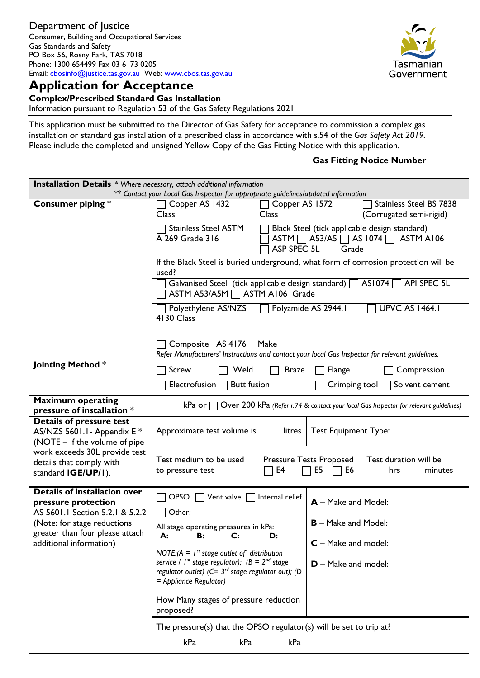

**Complex/Prescribed Standard Gas Installation** 

Information pursuant to Regulation 53 of the Gas Safety Regulations 2021

This application must be submitted to the Director of Gas Safety for acceptance to commission a complex gas installation or standard gas installation of a prescribed class in accordance with s.54 of the *Gas Safety Act 2019.* Please include the completed and unsigned Yellow Copy of the Gas Fitting Notice with this application.

### **Gas Fitting Notice Number**

| <b>Installation Details</b> * Where necessary, attach additional information                    |                                                                                                                                                 |                                                              |                            |                                                                                                              |  |
|-------------------------------------------------------------------------------------------------|-------------------------------------------------------------------------------------------------------------------------------------------------|--------------------------------------------------------------|----------------------------|--------------------------------------------------------------------------------------------------------------|--|
|                                                                                                 | ** Contact your Local Gas Inspector for appropriate guidelines/updated information                                                              |                                                              |                            |                                                                                                              |  |
| Consumer piping $*$                                                                             | Copper AS 1432<br>Class                                                                                                                         | Copper AS 1572<br><b>Class</b>                               |                            | <b>Stainless Steel BS 7838</b><br>(Corrugated semi-rigid)                                                    |  |
|                                                                                                 | <b>Stainless Steel ASTM</b><br>A 269 Grade 316<br>ASP SPEC 5L                                                                                   |                                                              |                            | Black Steel (tick applicable design standard)<br>ASTM $\Box$ A53/A5 $\Box$ AS 1074 $\Box$ ASTM A106<br>Grade |  |
|                                                                                                 | If the Black Steel is buried underground, what form of corrosion protection will be<br>used?                                                    |                                                              |                            |                                                                                                              |  |
|                                                                                                 | ASTM A53/A5M   ASTM A106 Grade                                                                                                                  |                                                              |                            | Galvanised Steel (tick applicable design standard)   AS1074   API SPEC 5L                                    |  |
|                                                                                                 | Polyamide AS 2944.1<br>Polyethylene AS/NZS<br>4130 Class                                                                                        |                                                              |                            | <b>UPVC AS 1464.1</b>                                                                                        |  |
|                                                                                                 | Composite AS 4176<br>Make<br>Refer Manufacturers' Instructions and contact your local Gas Inspector for relevant guidelines.                    |                                                              |                            |                                                                                                              |  |
| Jointing Method *                                                                               | Screw<br>Weld                                                                                                                                   | <b>Braze</b>                                                 | Flange                     | Compression                                                                                                  |  |
|                                                                                                 | Electrofusion<br><b>Butt fusion</b><br>Solvent cement<br>Crimping tool $\Box$                                                                   |                                                              |                            |                                                                                                              |  |
| <b>Maximum operating</b><br>pressure of installation *                                          | kPa or $\Box$ Over 200 kPa (Refer r.74 & contact your local Gas Inspector for relevant guidelines)                                              |                                                              |                            |                                                                                                              |  |
| <b>Details of pressure test</b><br>AS/NZS 5601.1- Appendix E *<br>(NOTE - If the volume of pipe | Approximate test volume is<br><b>Test Equipment Type:</b><br>litres                                                                             |                                                              |                            |                                                                                                              |  |
| work exceeds 30L provide test<br>details that comply with<br>standard IGE/UP/I).                | Test medium to be used<br>to pressure test                                                                                                      | <b>Pressure Tests Proposed</b><br>E4<br>E <sub>5</sub><br>E6 |                            | Test duration will be<br>hrs<br>minutes                                                                      |  |
| <b>Details of installation over</b><br>pressure protection                                      | <b>OPSO</b><br>Vent valve $\Box$                                                                                                                | Internal relief                                              | A - Make and Model:        |                                                                                                              |  |
| AS 5601.1 Section 5.2.1 & 5.2.2<br>(Note: for stage reductions                                  | Other:                                                                                                                                          |                                                              | <b>B</b> – Make and Model: |                                                                                                              |  |
| greater than four please attach                                                                 | All stage operating pressures in kPa:<br>A:<br>$\mathbf{C}$<br><b>B:</b>                                                                        | D:                                                           |                            |                                                                                                              |  |
| additional information)                                                                         | NOTE: $(A = I^{st}$ stage outlet of distribution                                                                                                |                                                              | <b>C</b> – Make and model: |                                                                                                              |  |
|                                                                                                 | service / $I^{st}$ stage regulator); $(B = 2^{nd}$ stage<br>regulator outlet) ( $C = 3^{rd}$ stage regulator out); (D<br>= Appliance Regulator) |                                                              | $D - Make$ and model:      |                                                                                                              |  |
|                                                                                                 | How Many stages of pressure reduction<br>proposed?                                                                                              |                                                              |                            |                                                                                                              |  |
|                                                                                                 | The pressure(s) that the OPSO regulator(s) will be set to trip at?                                                                              |                                                              |                            |                                                                                                              |  |
|                                                                                                 | kPa<br>kPa                                                                                                                                      | kPa                                                          |                            |                                                                                                              |  |

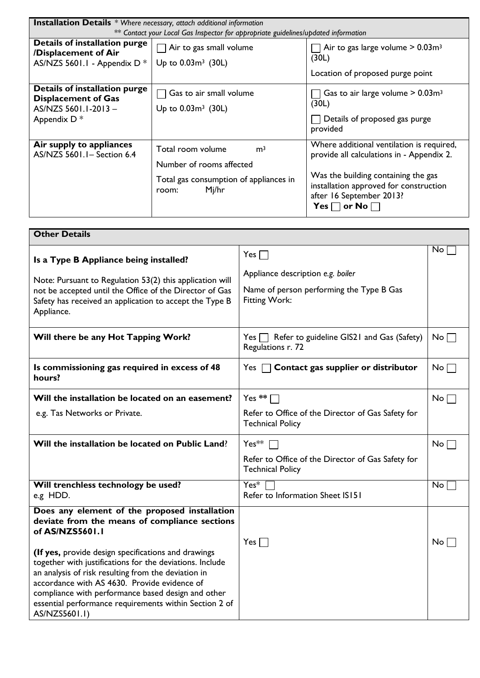| <b>Installation Details</b> * Where necessary, attach additional information                         |                                                                                                                             |                                                                                                                                                                                                                                |  |  |  |  |
|------------------------------------------------------------------------------------------------------|-----------------------------------------------------------------------------------------------------------------------------|--------------------------------------------------------------------------------------------------------------------------------------------------------------------------------------------------------------------------------|--|--|--|--|
|                                                                                                      | ** Contact your Local Gas Inspector for appropriate guidelines/updated information                                          |                                                                                                                                                                                                                                |  |  |  |  |
| Details of installation purge<br>/Displacement of Air<br>AS/NZS 5601.1 - Appendix $D^*$              | Air to gas small volume<br>Up to $0.03m^3$ (30L)                                                                            | Air to gas large volume $> 0.03$ m <sup>3</sup><br>(30L)<br>Location of proposed purge point                                                                                                                                   |  |  |  |  |
| Details of installation purge<br><b>Displacement of Gas</b><br>AS/NZS 5601.1-2013-<br>Appendix $D^*$ | $\Box$ Gas to air small volume<br>Up to $0.03m^3$ (30L)                                                                     | Gas to air large volume $> 0.03$ m <sup>3</sup><br>(30L)<br>Details of proposed gas purge<br>provided                                                                                                                          |  |  |  |  |
| Air supply to appliances<br>AS/NZS 5601.1- Section 6.4                                               | Total room volume<br>m <sup>3</sup><br>Number of rooms affected<br>Total gas consumption of appliances in<br>Mj/hr<br>room: | Where additional ventilation is required,<br>provide all calculations in - Appendix 2.<br>Was the building containing the gas<br>installation approved for construction<br>after 16 September 2013?<br>Yes $\Box$ or No $\Box$ |  |  |  |  |

| <b>Other Details</b>                                                                                                                                                                                                                                                                                                                                                                                                                                                         |                                                                                                              |                 |
|------------------------------------------------------------------------------------------------------------------------------------------------------------------------------------------------------------------------------------------------------------------------------------------------------------------------------------------------------------------------------------------------------------------------------------------------------------------------------|--------------------------------------------------------------------------------------------------------------|-----------------|
| Is a Type B Appliance being installed?<br>Note: Pursuant to Regulation 53(2) this application will<br>not be accepted until the Office of the Director of Gas<br>Safety has received an application to accept the Type B<br>Appliance.                                                                                                                                                                                                                                       | $Yes \Box$<br>Appliance description e.g. boiler<br>Name of person performing the Type B Gas<br>Fitting Work: | No              |
| Will there be any Hot Tapping Work?                                                                                                                                                                                                                                                                                                                                                                                                                                          | $Yes \frown$ Refer to guideline GIS21 and Gas (Safety)<br>Regulations r. 72                                  | No <sub>1</sub> |
| Is commissioning gas required in excess of 48<br>hours?                                                                                                                                                                                                                                                                                                                                                                                                                      | Contact gas supplier or distributor<br>Yes [                                                                 | No <sub>1</sub> |
| Will the installation be located on an easement?                                                                                                                                                                                                                                                                                                                                                                                                                             | Yes $**$                                                                                                     | No <sub>1</sub> |
| e.g. Tas Networks or Private.                                                                                                                                                                                                                                                                                                                                                                                                                                                | Refer to Office of the Director of Gas Safety for<br><b>Technical Policy</b>                                 |                 |
| Will the installation be located on Public Land?                                                                                                                                                                                                                                                                                                                                                                                                                             | $Yes**$<br>Refer to Office of the Director of Gas Safety for<br><b>Technical Policy</b>                      | $No \Box$       |
| Will trenchless technology be used?<br>e.g HDD.                                                                                                                                                                                                                                                                                                                                                                                                                              | $Yes*$<br>Refer to Information Sheet IS151                                                                   | No              |
| Does any element of the proposed installation<br>deviate from the means of compliance sections<br>of AS/NZS5601.1<br>(If yes, provide design specifications and drawings<br>together with justifications for the deviations. Include<br>an analysis of risk resulting from the deviation in<br>accordance with AS 4630. Provide evidence of<br>compliance with performance based design and other<br>essential performance requirements within Section 2 of<br>AS/NZS5601.1) | $Yes \Box$                                                                                                   | No <sub>1</sub> |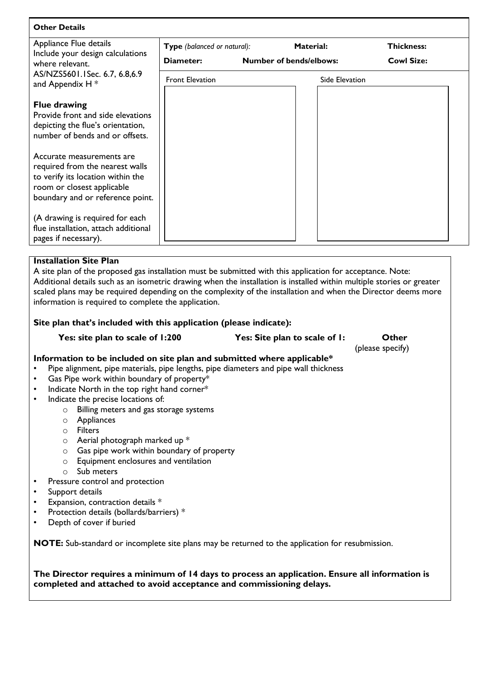| <b>Other Details</b>                                                                                                                                                |                             |                                |                |                   |
|---------------------------------------------------------------------------------------------------------------------------------------------------------------------|-----------------------------|--------------------------------|----------------|-------------------|
| Appliance Flue details<br>Include your design calculations                                                                                                          | Type (balanced or natural): |                                | Material:      | <b>Thickness:</b> |
| where relevant.                                                                                                                                                     | Diameter:                   | <b>Number of bends/elbows:</b> |                | <b>Cowl Size:</b> |
| AS/NZS5601.1Sec. 6.7, 6.8,6.9<br>and Appendix H *                                                                                                                   | <b>Front Elevation</b>      |                                | Side Elevation |                   |
| <b>Flue drawing</b><br>Provide front and side elevations<br>depicting the flue's orientation,<br>number of bends and or offsets.                                    |                             |                                |                |                   |
| Accurate measurements are<br>required from the nearest walls<br>to verify its location within the<br>room or closest applicable<br>boundary and or reference point. |                             |                                |                |                   |
| (A drawing is required for each<br>flue installation, attach additional<br>pages if necessary).                                                                     |                             |                                |                |                   |

# **Installation Site Plan**

A site plan of the proposed gas installation must be submitted with this application for acceptance. Note: Additional details such as an isometric drawing when the installation is installed within multiple stories or greater scaled plans may be required depending on the complexity of the installation and when the Director deems more information is required to complete the application.

### **Site plan that's included with this application (please indicate):**

**Yes: site plan to scale of 1:200 Yes: Site plan to scale of 1: Other**

(please specify)

## **Information to be included on site plan and submitted where applicable\***

- Pipe alignment, pipe materials, pipe lengths, pipe diameters and pipe wall thickness
- Gas Pipe work within boundary of property\*
- Indicate North in the top right hand corner\*
- Indicate the precise locations of:
	- o Billing meters and gas storage systems
	- o Appliances
		- o Filters
		- o Aerial photograph marked up \*
	- o Gas pipe work within boundary of property
	- o Equipment enclosures and ventilation
	- o Sub meters
- Pressure control and protection
- Support details
- Expansion, contraction details  $*$
- Protection details (bollards/barriers) \*
- Depth of cover if buried

**NOTE:** Sub-standard or incomplete site plans may be returned to the application for resubmission.

**The Director requires a minimum of 14 days to process an application. Ensure all information is completed and attached to avoid acceptance and commissioning delays.**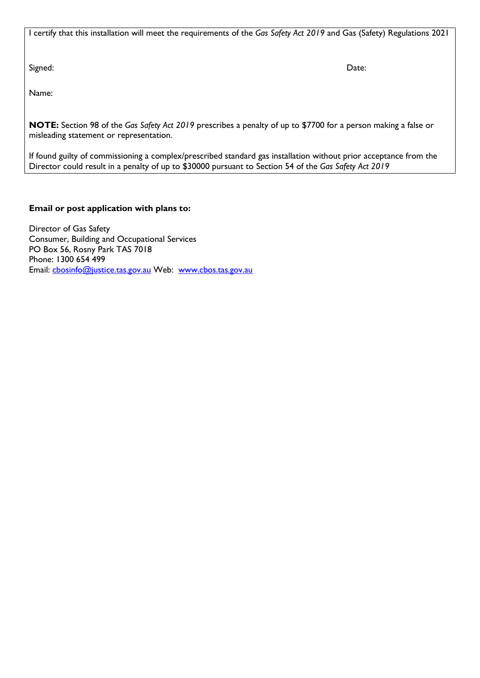I certify that this installation will meet the requirements of the *Gas Safety Act 2019* and Gas (Safety) Regulations 2021

Signed: Date:

Name:

**NOTE:** Section 98 of the *Gas Safety Act 2019* prescribes a penalty of up to \$7700 for a person making a false or misleading statement or representation.

If found guilty of commissioning a complex/prescribed standard gas installation without prior acceptance from the Director could result in a penalty of up to \$30000 pursuant to Section 54 of the *Gas Safety Act 2019*

# **Email or post application with plans to:**

Director of Gas Safety Consumer, Building and Occupational Services PO Box 56, Rosny Park TAS 7018 Phone: 1300 654 499 Email: [cbosinfo@justice.tas.gov.au](mailto:cbosinfo@justice.tas.gov.au) Web: [www.cbos.tas.gov.au](http://www.cbos.tas.gov.au/)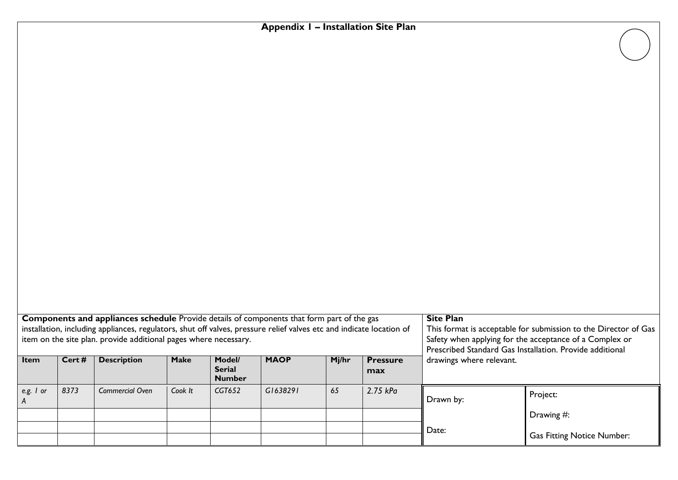# **Appendix 1 – Installation Site Plan**

| <b>Components and appliances schedule</b> Provide details of components that form part of the gas<br>installation, including appliances, regulators, shut off valves, pressure relief valves etc and indicate location of<br>item on the site plan. provide additional pages where necessary. |       |                        |             |                                          | <b>Site Plan</b><br>This format is acceptable for submission to the Director of Gas<br>Safety when applying for the acceptance of a Complex or<br>Prescribed Standard Gas Installation. Provide additional |       |                        |                          |                                   |  |
|-----------------------------------------------------------------------------------------------------------------------------------------------------------------------------------------------------------------------------------------------------------------------------------------------|-------|------------------------|-------------|------------------------------------------|------------------------------------------------------------------------------------------------------------------------------------------------------------------------------------------------------------|-------|------------------------|--------------------------|-----------------------------------|--|
| <b>Item</b>                                                                                                                                                                                                                                                                                   | Cert# | <b>Description</b>     | <b>Make</b> | Model/<br><b>Serial</b><br><b>Number</b> | <b>MAOP</b>                                                                                                                                                                                                | Mj/hr | <b>Pressure</b><br>max | drawings where relevant. |                                   |  |
| e.g. $\prime$ or                                                                                                                                                                                                                                                                              | 8373  | <b>Commercial Oven</b> | Cook It     | CGT652                                   | G1638291                                                                                                                                                                                                   | 65    | 2.75 kPa               | Drawn by:                | Project:                          |  |
|                                                                                                                                                                                                                                                                                               |       |                        |             |                                          |                                                                                                                                                                                                            |       |                        | Date:                    | Drawing #:                        |  |
|                                                                                                                                                                                                                                                                                               |       |                        |             |                                          |                                                                                                                                                                                                            |       |                        |                          | <b>Gas Fitting Notice Number:</b> |  |